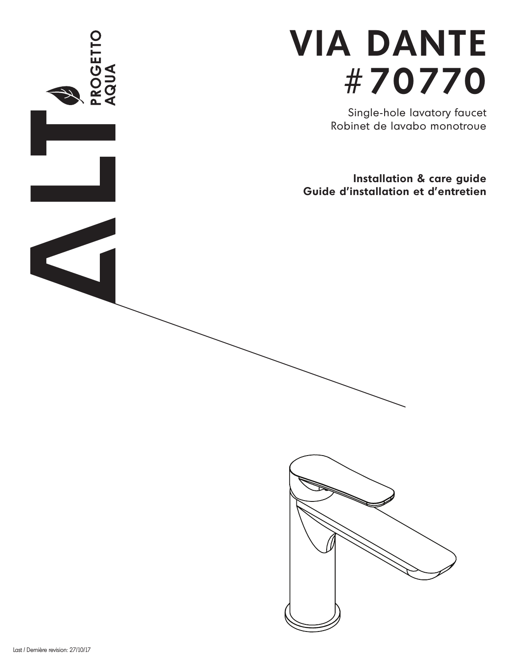

Single-hole lavatory faucet Robinet de lavabo monotroue

**Installation & care guide Guide d'installation et d'entretien**



**ROGETTO**<br>AQUA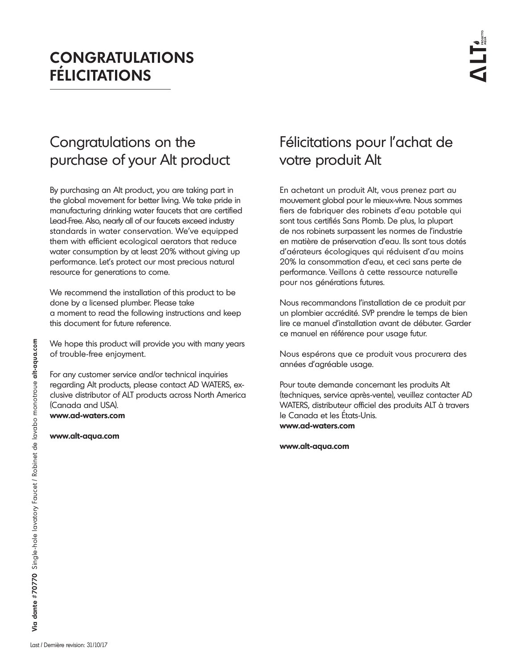# **CONGRATULATIONS FÉLICITATIONS**

# Congratulations on the purchase of your Alt product

By purchasing an Alt product, you are taking part in the global movement for better living. We take pride in manufacturing drinking water faucets that are certified Lead-Free. Also, nearly all of our faucets exceed industry standards in water conservation. We've equipped them with efficient ecological aerators that reduce water consumption by at least 20% without giving up performance. Let's protect our most precious natural resource for generations to come.

We recommend the installation of this product to be done by a licensed plumber. Please take a moment to read the following instructions and keep this document for future reference.

We hope this product will provide you with many years of trouble-free enjoyment.

For any customer service and/or technical inquiries regarding Alt products, please contact AD WATERS, exclusive distributor of ALT products across North America (Canada and USA). **www.ad-waters.com**

**www.alt-aqua.com**

# Félicitations pour l'achat de votre produit Alt

En achetant un produit Alt, vous prenez part au mouvement global pour le mieux-vivre. Nous sommes fiers de fabriquer des robinets d'eau potable qui sont tous certifiés Sans Plomb. De plus, la plupart de nos robinets surpassent les normes de l'industrie en matière de préservation d'eau. Ils sont tous dotés d'aérateurs écologiques qui réduisent d'au moins 20% la consommation d'eau, et ceci sans perte de performance. Veillons à cette ressource naturelle pour nos générations futures.

Nous recommandons l'installation de ce produit par un plombier accrédité. SVP prendre le temps de bien lire ce manuel d'installation avant de débuter. Garder ce manuel en référence pour usage futur.

Nous espérons que ce produit vous procurera des années d'agréable usage.

Pour toute demande concernant les produits Alt (techniques, service après-vente), veuillez contacter AD WATERS, distributeur officiel des produits ALT à travers le Canada et les États-Unis. **www.ad-waters.com**

**www.alt-aqua.com**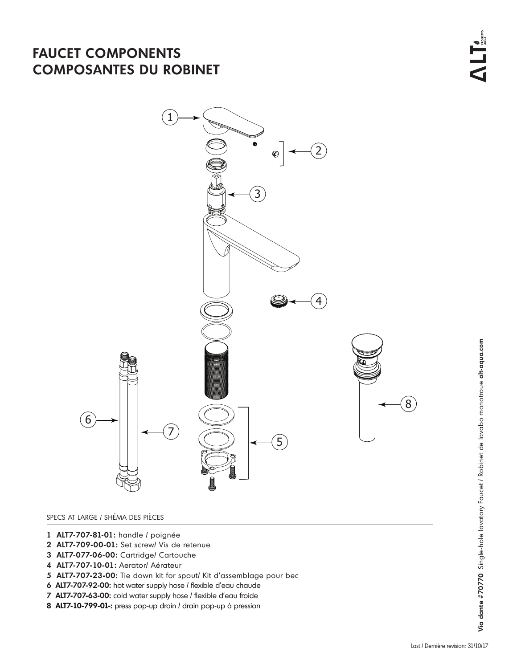## **FAUCET COMPONENTS COMPOSANTES DU ROBINET**



### SPECS AT LARGE / SHÉMA DES PIÈCES

- **1 ALT7-707-81-01:** handle / poignée
- **2 ALT7-709-00-01:** Set screw/ Vis de retenue
- **3 ALT7-077-06-00:** Cartridge/ Cartouche
- **4 ALT7-707-10-01:** Aerator/ Aérateur
- **5 ALT7-707-23-00:** Tie down kit for spout/ Kit d'assemblage pour bec
- **6 ALT7-707-92-00:** hot water supply hose / flexible d'eau chaude
- **7 ALT7-707-63-00:** cold water supply hose / flexible d'eau froide
- **8 ALT7-10-799-01-:** press pop-up drain / drain pop-up à pression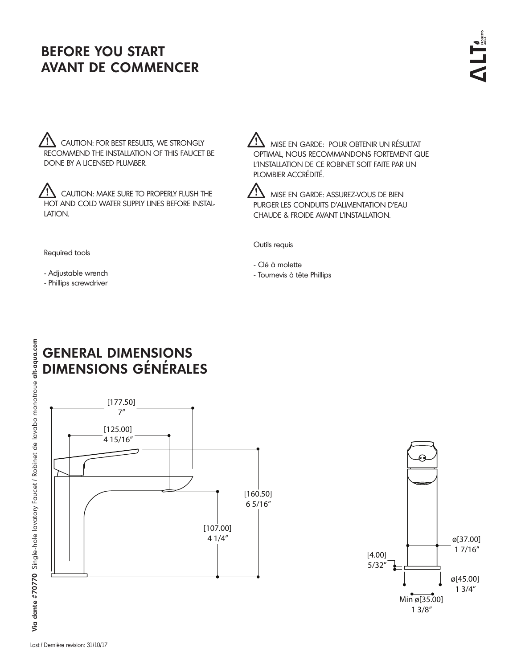# **BEFORE YOU START AVANT DE COMMENCER**

 $\mathcal{I}\mathbf{\underline{1}}$  CAUTION: FOR BEST RESULTS, WE STRONGLY RECOMMEND THE INSTALLATION OF THIS FAUCET BE DONE BY A LICENSED PLUMBER.

**IN** CAUTION: MAKE SURE TO PROPERLY FLUSH THE HOT AND COLD WATER SUPPLY LINES BEFORE INSTAL-LATION.

 MISE EN GARDE: POUR OBTENIR UN RÉSULTAT OPTIMAL, NOUS RECOMMANDONS FORTEMENT QUE L'INSTALLATION DE CE ROBINET SOIT FAITE PAR UN PLOMBIER ACCRÉDITÉ.



 $\sum$  mise en garde: assurez-vous de bien PURGER LES CONDUITS D'ALIMENTATION D'EAU CHAUDE & FROIDE AVANT L'INSTALLATION.

Outils requis

Required tools

- Adjustable wrench

- Phillips screwdriver

- Clé à molette - Tournevis à tête Phillips

# **GENERAL DIMENSIONS DIMENSIONS GÉNÉRALES**



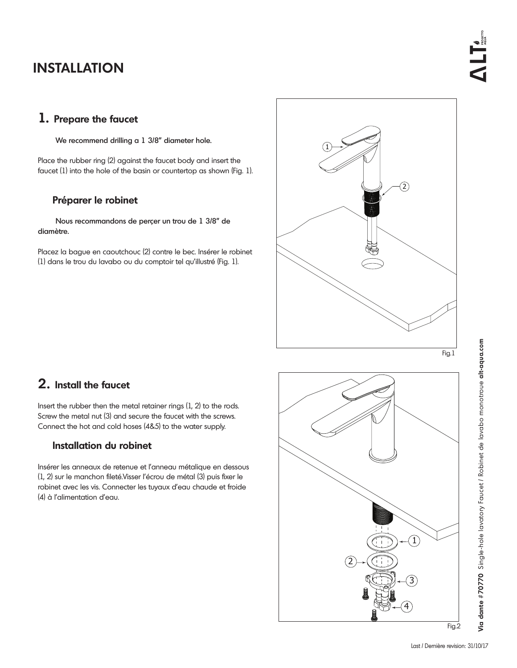## **INSTALLATION**

### **1. Prepare the faucet**

We recommend drilling a 1 3/8" diameter hole.

Place the rubber ring (2) against the faucet body and insert the faucet (1) into the hole of the basin or countertop as shown (Fig. 1).

### **Préparer le robinet**

 Nous recommandons de perçer un trou de 1 3/8" de diamètre.

Placez la bague en caoutchouc (2) contre le bec. Insérer le robinet (1) dans le trou du lavabo ou du comptoir tel qu'illustré (Fig. 1).



### **2. Install the faucet**

Insert the rubber then the metal retainer rings (1, 2) to the rods. Screw the metal nut (3) and secure the faucet with the screws. Connect the hot and cold hoses (4&5) to the water supply.

### **Installation du robinet**

Insérer les anneaux de retenue et l'anneau métalique en dessous (1, 2) sur le manchon fileté.Visser l'écrou de métal (3) puis fixer le robinet avec les vis. Connecter les tuyaux d'eau chaude et froide (4) à l'alimentation d'eau.

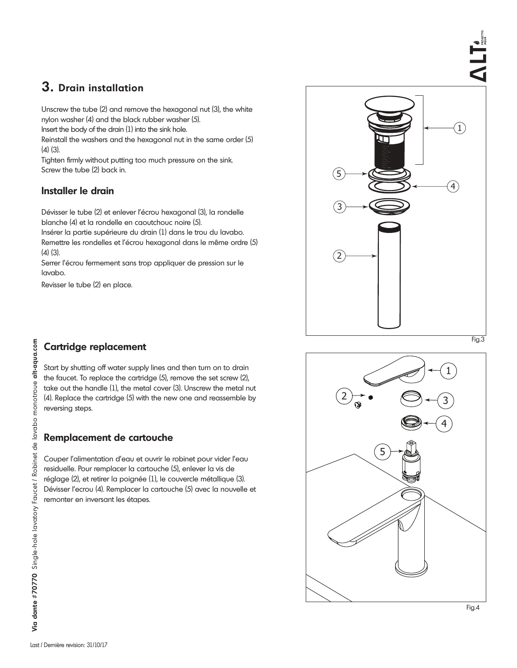## **3. Drain installation**

Unscrew the tube (2) and remove the hexagonal nut (3), the white nylon washer (4) and the black rubber washer (5).

Insert the body of the drain (1) into the sink hole.

Reinstall the washers and the hexagonal nut in the same order (5) (4) (3).

Tighten firmly without putting too much pressure on the sink. Screw the tube (2) back in.

### **Installer le drain**

Dévisser le tube (2) et enlever l'écrou hexagonal (3), la rondelle blanche (4) et la rondelle en caoutchouc noire (5).

Insérer la partie supérieure du drain (1) dans le trou du lavabo. Remettre les rondelles et l'écrou hexagonal dans le même ordre (5)

(4) (3).

Serrer l'écrou fermement sans trop appliquer de pression sur le lavabo.

Revisser le tube (2) en place.



### **Cartridge replacement**

Start by shutting off water supply lines and then turn on to drain the faucet. To replace the cartridge (5), remove the set screw (2), take out the handle (1), the metal cover (3). Unscrew the metal nut (4). Replace the cartridge (5) with the new one and reassemble by reversing steps.

### **Remplacement de cartouche**

Couper l'alimentation d'eau et ouvrir le robinet pour vider l'eau residuelle. Pour remplacer la cartouche (5), enlever la vis de réglage (2), et retirer la poignée (1), le couvercle métallique (3). Dévisser l'ecrou (4). Remplacer la cartouche (5) avec la nouvelle et remonter en inversant les étapes.



**Via dante #70770** Single-hole lavatory Faucet / Robinet de lavabo monotroue **alt-aqua.com**

Via dante #70770 Single-hole lavatory Faucet / Robinet de lavabo monotroue alt-aqua.com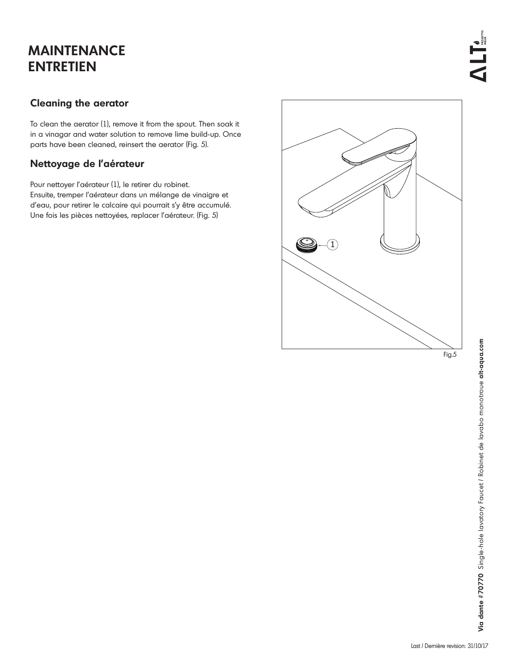# **MAINTENANCE ENTRETIEN**

### **Cleaning the aerator**

To clean the aerator (1), remove it from the spout. Then soak it in a vinagar and water solution to remove lime build-up. Once parts have been cleaned, reinsert the aerator (Fig. 5).

### **Nettoyage de l'aérateur**

Pour nettoyer l'aérateur (1), le retirer du robinet.

Ensuite, tremper l'aérateur dans un mélange de vinaigre et d'eau, pour retirer le calcaire qui pourrait s'y être accumulé. Une fois les pièces nettoyées, replacer l'aérateur. (Fig. 5)

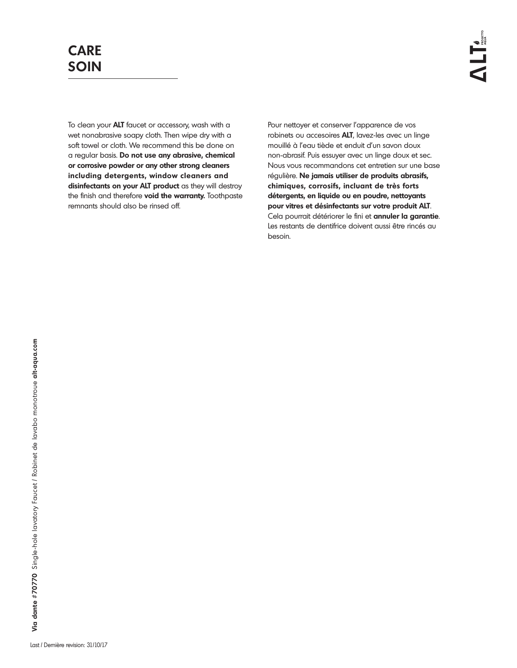To clean your **ALT** faucet or accessory, wash with a wet nonabrasive soapy cloth. Then wipe dry with a soft towel or cloth. We recommend this be done on a regular basis. **Do not use any abrasive, chemical or corrosive powder or any other strong cleaners including detergents, window cleaners and disinfectants on your ALT product** as they will destroy the finish and therefore **void the warranty.** Toothpaste remnants should also be rinsed off.

Pour nettoyer et conserver l'apparence de vos robinets ou accesoires **ALT**, lavez-les avec un linge mouillé à l'eau tiède et enduit d'un savon doux non-abrasif. Puis essuyer avec un linge doux et sec. Nous vous recommandons cet entretien sur une base régulière. **Ne jamais utiliser de produits abrasifs, chimiques, corrosifs, incluant de très forts détergents, en liquide ou en poudre, nettoyants pour vitres et désinfectants sur votre produit ALT**. Cela pourrait détériorer le fini et **annuler la garantie**. Les restants de dentifrice doivent aussi être rincés au besoin.